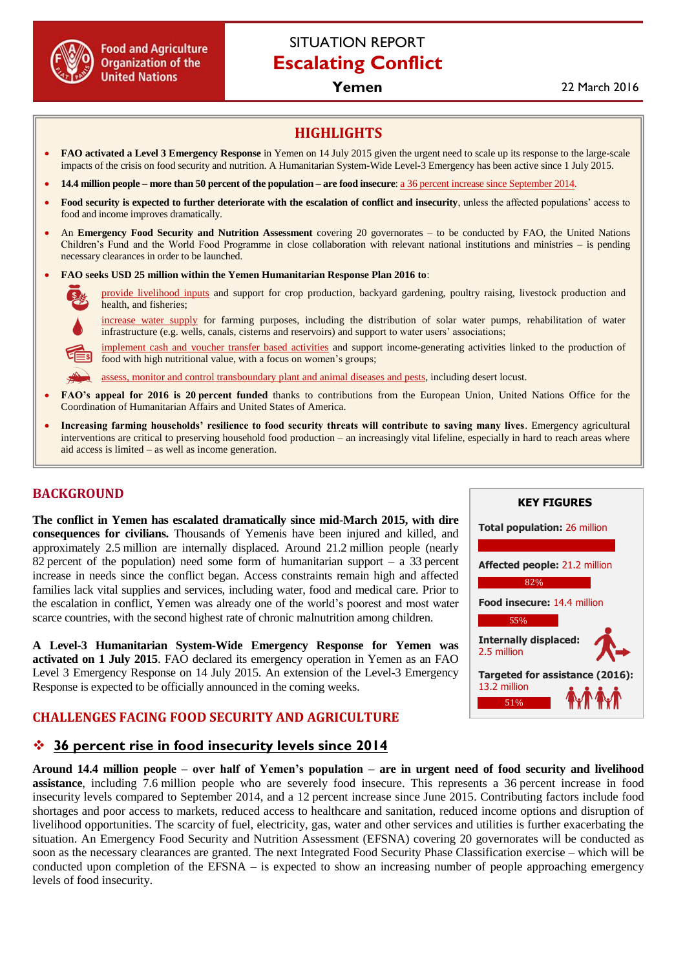

# SITUATION REPORT **Escalating Conflict**

#### **Yemen**

# **HIGHLIGHTS**

- **FAO activated a Level 3 Emergency Response** in Yemen on 14 July 2015 given the urgent need to scale up its response to the large-scale impacts of the crisis on food security and nutrition. A Humanitarian System-Wide Level-3 Emergency has been active since 1 July 2015.
- **14.4 million people – more than 50 percent of the population – are food insecure**: a 36 percent increase since September 2014.
- **Food security is expected to further deteriorate with the escalation of conflict and insecurity**, unless the affected populations' access to food and income improves dramatically.
- An **Emergency Food Security and Nutrition Assessment** covering 20 governorates to be conducted by FAO, the United Nations Children's Fund and the World Food Programme in close collaboration with relevant national institutions and ministries – is pending necessary clearances in order to be launched.
- **FAO seeks USD 25 million within the Yemen Humanitarian Response Plan 2016 to**:



provide livelihood inputs and support for crop production, backyard gardening, poultry raising, livestock production and health, and fisheries;



increase water supply for farming purposes, including the distribution of solar water pumps, rehabilitation of water infrastructure (e.g. wells, canals, cisterns and reservoirs) and support to water users' associations;

implement cash and voucher transfer based activities and support income-generating activities linked to the production of food with high nutritional value, with a focus on women's groups;

assess, monitor and control transboundary plant and animal diseases and pests, including desert locust.

- **FAO's appeal for 2016 is 20 percent funded** thanks to contributions from the European Union, United Nations Office for the Coordination of Humanitarian Affairs and United States of America.
- **Increasing farming households' resilience to food security threats will contribute to saving many lives**. Emergency agricultural interventions are critical to preserving household food production – an increasingly vital lifeline, especially in hard to reach areas where aid access is limited – as well as income generation.

### **BACKGROUND**

**The conflict in Yemen has escalated dramatically since mid-March 2015, with dire consequences for civilians.** Thousands of Yemenis have been injured and killed, and approximately 2.5 million are internally displaced. Around 21.2 million people (nearly 82 percent of the population) need some form of humanitarian support – a 33 percent increase in needs since the conflict began. Access constraints remain high and affected families lack vital supplies and services, including water, food and medical care. Prior to the escalation in conflict, Yemen was already one of the world's poorest and most water scarce countries, with the second highest rate of chronic malnutrition among children.

**A Level-3 Humanitarian System-Wide Emergency Response for Yemen was activated on 1 July 2015**. FAO declared its emergency operation in Yemen as an FAO Level 3 Emergency Response on 14 July 2015. An extension of the Level-3 Emergency Response is expected to be officially announced in the coming weeks.

### **CHALLENGES FACING FOOD SECURITY AND AGRICULTURE**

### **36 percent rise in food insecurity levels since 2014**

**Around 14.4 million people – over half of Yemen's population – are in urgent need of food security and livelihood assistance**, including 7.6 million people who are severely food insecure. This represents a 36 percent increase in food insecurity levels compared to September 2014, and a 12 percent increase since June 2015. Contributing factors include food shortages and poor access to markets, reduced access to healthcare and sanitation, reduced income options and disruption of livelihood opportunities. The scarcity of fuel, electricity, gas, water and other services and utilities is further exacerbating the situation. An Emergency Food Security and Nutrition Assessment (EFSNA) covering 20 governorates will be conducted as soon as the necessary clearances are granted. The next Integrated Food Security Phase Classification exercise – which will be conducted upon completion of the EFSNA – is expected to show an increasing number of people approaching emergency levels of food insecurity.